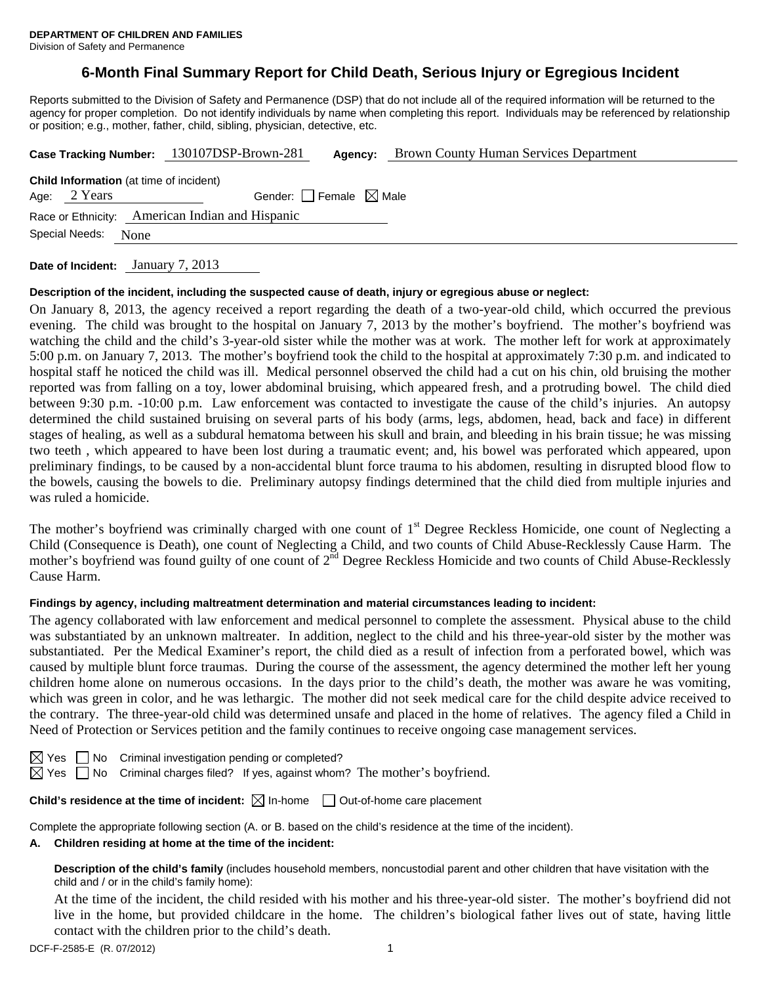# **6-Month Final Summary Report for Child Death, Serious Injury or Egregious Incident**

Reports submitted to the Division of Safety and Permanence (DSP) that do not include all of the required information will be returned to the agency for proper completion. Do not identify individuals by name when completing this report. Individuals may be referenced by relationship or position; e.g., mother, father, child, sibling, physician, detective, etc.

|                                                 |  | <b>Brown County Human Services Department</b><br>Case Tracking Number: 130107DSP-Brown-281<br>Agency: |  |  |  |  |  |  |
|-------------------------------------------------|--|-------------------------------------------------------------------------------------------------------|--|--|--|--|--|--|
| <b>Child Information</b> (at time of incident)  |  |                                                                                                       |  |  |  |  |  |  |
| Age: 2 Years                                    |  | Gender: Female $\boxtimes$ Male                                                                       |  |  |  |  |  |  |
| Race or Ethnicity: American Indian and Hispanic |  |                                                                                                       |  |  |  |  |  |  |
| Special Needs:<br>None                          |  |                                                                                                       |  |  |  |  |  |  |
|                                                 |  | 7.010                                                                                                 |  |  |  |  |  |  |

**Date of Incident:** January 7, 2013

#### **Description of the incident, including the suspected cause of death, injury or egregious abuse or neglect:**

On January 8, 2013, the agency received a report regarding the death of a two-year-old child, which occurred the previous evening. The child was brought to the hospital on January 7, 2013 by the mother's boyfriend. The mother's boyfriend was watching the child and the child's 3-year-old sister while the mother was at work. The mother left for work at approximately 5:00 p.m. on January 7, 2013. The mother's boyfriend took the child to the hospital at approximately 7:30 p.m. and indicated to hospital staff he noticed the child was ill. Medical personnel observed the child had a cut on his chin, old bruising the mother reported was from falling on a toy, lower abdominal bruising, which appeared fresh, and a protruding bowel. The child died between 9:30 p.m. -10:00 p.m. Law enforcement was contacted to investigate the cause of the child's injuries. An autopsy determined the child sustained bruising on several parts of his body (arms, legs, abdomen, head, back and face) in different stages of healing, as well as a subdural hematoma between his skull and brain, and bleeding in his brain tissue; he was missing two teeth , which appeared to have been lost during a traumatic event; and, his bowel was perforated which appeared, upon preliminary findings, to be caused by a non-accidental blunt force trauma to his abdomen, resulting in disrupted blood flow to the bowels, causing the bowels to die. Preliminary autopsy findings determined that the child died from multiple injuries and was ruled a homicide.

The mother's boyfriend was criminally charged with one count of 1<sup>st</sup> Degree Reckless Homicide, one count of Neglecting a Child (Consequence is Death), one count of Neglecting a Child, and two counts of Child Abuse-Recklessly Cause Harm. The mother's boyfriend was found guilty of one count of  $2<sup>nd</sup>$  Degree Reckless Homicide and two counts of Child Abuse-Recklessly Cause Harm.

#### **Findings by agency, including maltreatment determination and material circumstances leading to incident:**

The agency collaborated with law enforcement and medical personnel to complete the assessment. Physical abuse to the child was substantiated by an unknown maltreater. In addition, neglect to the child and his three-year-old sister by the mother was substantiated. Per the Medical Examiner's report, the child died as a result of infection from a perforated bowel, which was caused by multiple blunt force traumas. During the course of the assessment, the agency determined the mother left her young children home alone on numerous occasions. In the days prior to the child's death, the mother was aware he was vomiting, which was green in color, and he was lethargic. The mother did not seek medical care for the child despite advice received to the contrary. The three-year-old child was determined unsafe and placed in the home of relatives. The agency filed a Child in Need of Protection or Services petition and the family continues to receive ongoing case management services.

 $\Box$  No Criminal investigation pending or completed?

 $\boxtimes$  Yes  $\Box$  No Criminal charges filed? If yes, against whom? The mother's boyfriend.

# **Child's residence at the time of incident:**  $\boxtimes$  In-home  $\Box$  Out-of-home care placement

Complete the appropriate following section (A. or B. based on the child's residence at the time of the incident).

#### **A. Children residing at home at the time of the incident:**

**Description of the child's family** (includes household members, noncustodial parent and other children that have visitation with the child and / or in the child's family home):

 At the time of the incident, the child resided with his mother and his three-year-old sister. The mother's boyfriend did not live in the home, but provided childcare in the home. The children's biological father lives out of state, having little contact with the children prior to the child's death.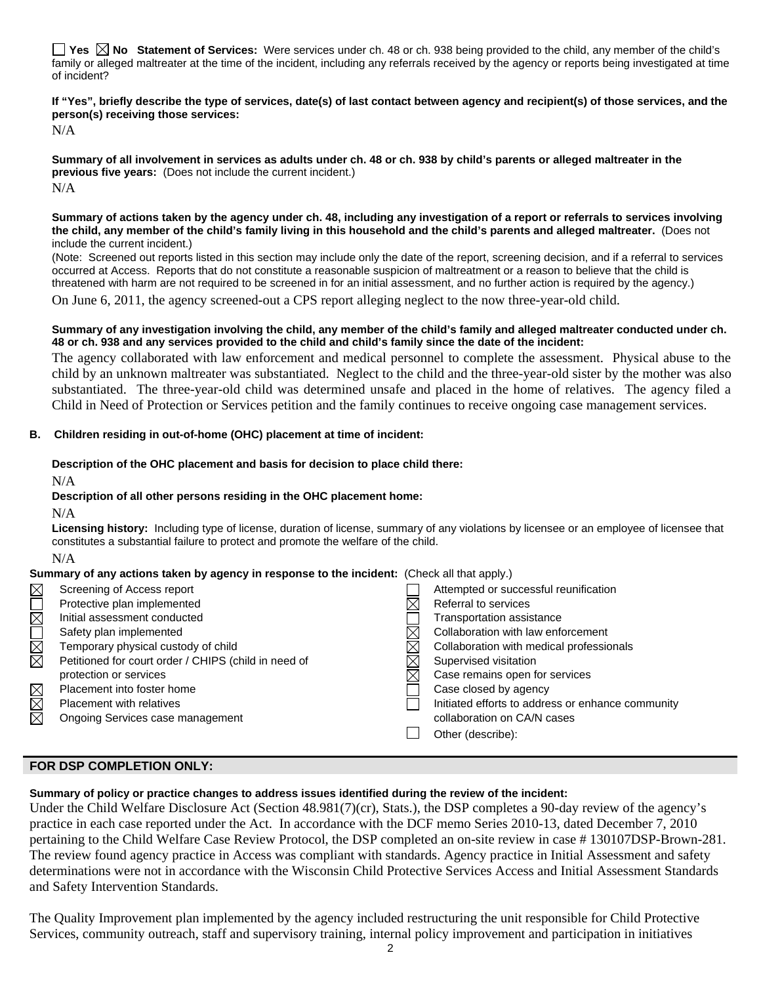**Yes**  $\boxtimes$  **No** Statement of Services: Were services under ch. 48 or ch. 938 being provided to the child, any member of the child's family or alleged maltreater at the time of the incident, including any referrals received by the agency or reports being investigated at time of incident?

**If "Yes", briefly describe the type of services, date(s) of last contact between agency and recipient(s) of those services, and the person(s) receiving those services:** 

N/A

**Summary of all involvement in services as adults under ch. 48 or ch. 938 by child's parents or alleged maltreater in the previous five years:** (Does not include the current incident.) N/A

#### **Summary of actions taken by the agency under ch. 48, including any investigation of a report or referrals to services involving the child, any member of the child's family living in this household and the child's parents and alleged maltreater.** (Does not include the current incident.)

(Note: Screened out reports listed in this section may include only the date of the report, screening decision, and if a referral to services occurred at Access. Reports that do not constitute a reasonable suspicion of maltreatment or a reason to believe that the child is threatened with harm are not required to be screened in for an initial assessment, and no further action is required by the agency.)

On June 6, 2011, the agency screened-out a CPS report alleging neglect to the now three-year-old child.

#### **Summary of any investigation involving the child, any member of the child's family and alleged maltreater conducted under ch. 48 or ch. 938 and any services provided to the child and child's family since the date of the incident:**

The agency collaborated with law enforcement and medical personnel to complete the assessment. Physical abuse to the child by an unknown maltreater was substantiated. Neglect to the child and the three-year-old sister by the mother was also substantiated. The three-year-old child was determined unsafe and placed in the home of relatives. The agency filed a Child in Need of Protection or Services petition and the family continues to receive ongoing case management services.

#### **B. Children residing in out-of-home (OHC) placement at time of incident:**

#### **Description of the OHC placement and basis for decision to place child there:**

N/A

#### **Description of all other persons residing in the OHC placement home:**

N/A

**Licensing history:** Including type of license, duration of license, summary of any violations by licensee or an employee of licensee that constitutes a substantial failure to protect and promote the welfare of the child.

N/A

#### **Summary of any actions taken by agency in response to the incident:** (Check all that apply.)

| $\boxtimes$      | Screening of Access report                           |  | Attempted or successful reunification             |  |  |
|------------------|------------------------------------------------------|--|---------------------------------------------------|--|--|
| $\overline{\Xi}$ | Protective plan implemented                          |  | Referral to services                              |  |  |
|                  | Initial assessment conducted                         |  | <b>Transportation assistance</b>                  |  |  |
| N<br>M<br>M      | Safety plan implemented                              |  | Collaboration with law enforcement                |  |  |
|                  | Temporary physical custody of child                  |  | Collaboration with medical professionals          |  |  |
|                  | Petitioned for court order / CHIPS (child in need of |  | Supervised visitation                             |  |  |
|                  | protection or services                               |  | Case remains open for services                    |  |  |
| MMM              | Placement into foster home                           |  | Case closed by agency                             |  |  |
|                  | <b>Placement with relatives</b>                      |  | Initiated efforts to address or enhance community |  |  |
|                  | Ongoing Services case management                     |  | collaboration on CA/N cases                       |  |  |
|                  |                                                      |  | Other (describe):                                 |  |  |
|                  |                                                      |  |                                                   |  |  |

### **FOR DSP COMPLETION ONLY:**

#### **Summary of policy or practice changes to address issues identified during the review of the incident:**

Under the Child Welfare Disclosure Act (Section 48.981(7)(cr), Stats.), the DSP completes a 90-day review of the agency's practice in each case reported under the Act. In accordance with the DCF memo Series 2010-13, dated December 7, 2010 pertaining to the Child Welfare Case Review Protocol, the DSP completed an on-site review in case # 130107DSP-Brown-281. The review found agency practice in Access was compliant with standards. Agency practice in Initial Assessment and safety determinations were not in accordance with the Wisconsin Child Protective Services Access and Initial Assessment Standards and Safety Intervention Standards.

The Quality Improvement plan implemented by the agency included restructuring the unit responsible for Child Protective Services, community outreach, staff and supervisory training, internal policy improvement and participation in initiatives